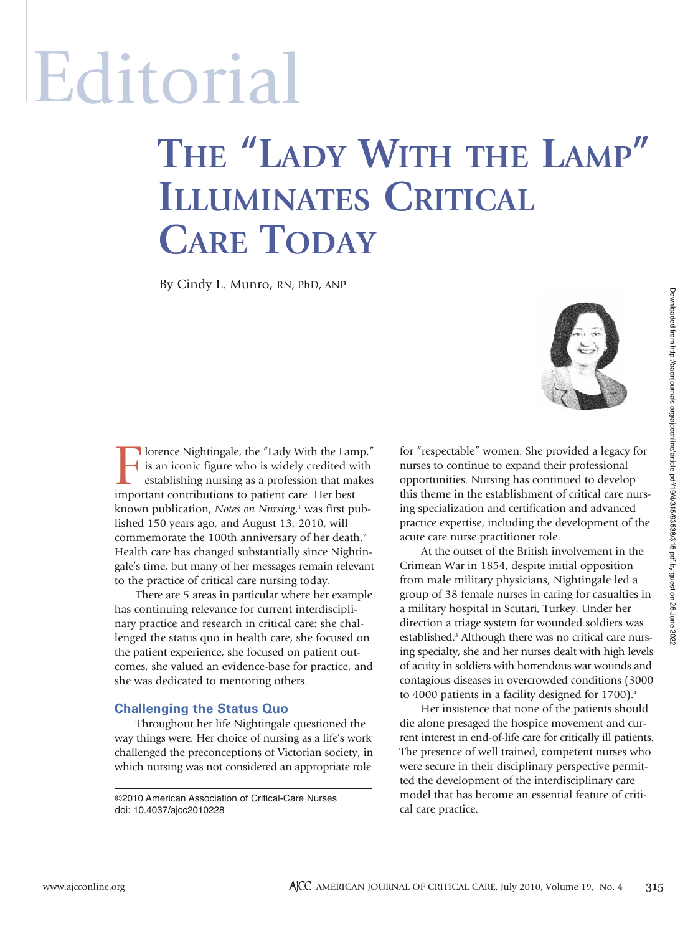# Editorial

## **THE "LADY WITH THE LAMP" ILLUMINATES CRITICAL CARE TODAY**

By Cindy L. Munro, RN, PhD, ANP



I lorence Nightingale, the "Lady With the Lamp,"<br>is an iconic figure who is widely credited with<br>establishing nursing as a profession that makes<br>important contributions to patient care. Her best is an iconic figure who is widely credited with establishing nursing as a profession that makes important contributions to patient care. Her best known publication, *Notes on Nursing*, <sup>1</sup> was first published 150 years ago, and August 13, 2010, will commemorate the 100th anniversary of her death.<sup>2</sup> Health care has changed substantially since Nightingale's time, but many of her messages remain relevant to the practice of critical care nursing today.

There are 5 areas in particular where her example has continuing relevance for current interdisciplinary practice and research in critical care: she challenged the status quo in health care, she focused on the patient experience, she focused on patient outcomes, she valued an evidence-base for practice, and she was dedicated to mentoring others.

### **Challenging the Status Quo**

Throughout her life Nightingale questioned the way things were. Her choice of nursing as a life's work challenged the preconceptions of Victorian society, in which nursing was not considered an appropriate role

©2010 American Association of Critical-Care Nurses doi: 10.4037/ajcc2010228

for "respectable" women. She provided a legacy for nurses to continue to expand their professional opportunities. Nursing has continued to develop this theme in the establishment of critical care nursing specialization and certification and advanced practice expertise, including the development of the acute care nurse practitioner role.

At the outset of the British involvement in the Crimean War in 1854, despite initial opposition from male military physicians, Nightingale led a group of 38 female nurses in caring for casualties in a military hospital in Scutari, Turkey. Under her direction a triage system for wounded soldiers was established.<sup>3</sup> Although there was no critical care nursing specialty, she and her nurses dealt with high levels of acuity in soldiers with horrendous war wounds and contagious diseases in overcrowded conditions (3000 to 4000 patients in a facility designed for 1700).<sup>4</sup>

Her insistence that none of the patients should die alone presaged the hospice movement and current interest in end-of-life care for critically ill patients. The presence of well trained, competent nurses who were secure in their disciplinary perspective permitted the development of the interdisciplinary care model that has become an essential feature of critical care practice.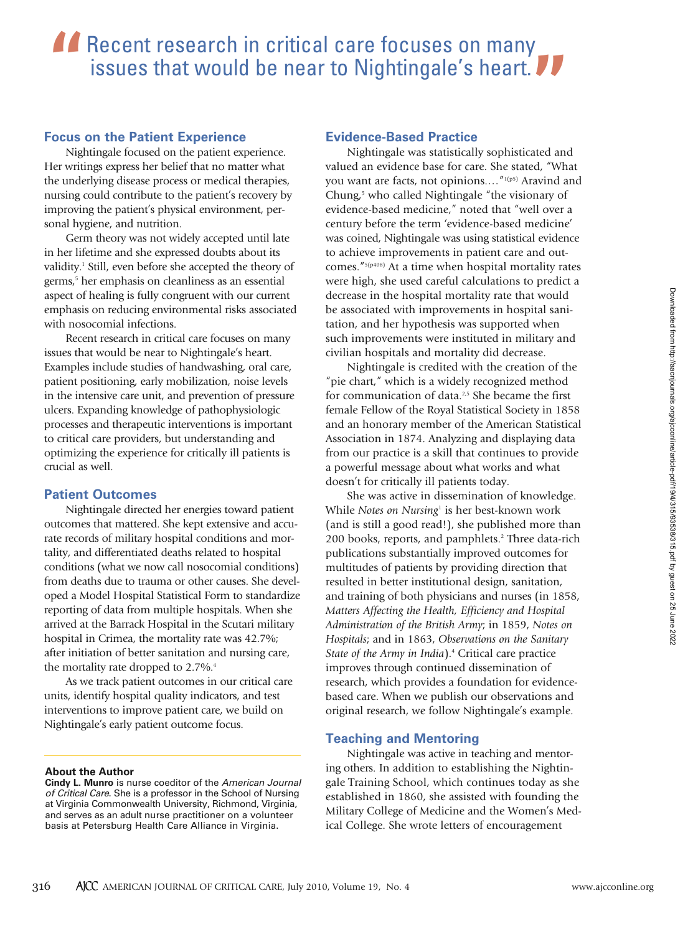## **A** Recent research in critical care focuses on many issues that would be near to Nightingale's heart. **"**

#### **Focus on the Patient Experience**

Nightingale focused on the patient experience. Her writings express her belief that no matter what the underlying disease process or medical therapies, nursing could contribute to the patient's recovery by improving the patient's physical environment, personal hygiene, and nutrition.

Germ theory was not widely accepted until late in her lifetime and she expressed doubts about its validity.<sup>1</sup> Still, even before she accepted the theory of germs,<sup>5</sup> her emphasis on cleanliness as an essential aspect of healing is fully congruent with our current emphasis on reducing environmental risks associated with nosocomial infections.

Recent research in critical care focuses on many issues that would be near to Nightingale's heart. Examples include studies of handwashing, oral care, patient positioning, early mobilization, noise levels in the intensive care unit, and prevention of pressure ulcers. Expanding knowledge of pathophysiologic processes and therapeutic interventions is important to critical care providers, but understanding and optimizing the experience for critically ill patients is crucial as well.

### **Patient Outcomes**

Nightingale directed her energies toward patient outcomes that mattered. She kept extensive and accurate records of military hospital conditions and mortality, and differentiated deaths related to hospital conditions (what we now call nosocomial conditions) from deaths due to trauma or other causes. She developed a Model Hospital Statistical Form to standardize reporting of data from multiple hospitals. When she arrived at the Barrack Hospital in the Scutari military hospital in Crimea, the mortality rate was 42.7%; after initiation of better sanitation and nursing care, the mortality rate dropped to 2.7%.<sup>4</sup>

As we track patient outcomes in our critical care units, identify hospital quality indicators, and test interventions to improve patient care, we build on Nightingale's early patient outcome focus.

#### **About the Author**

**Cindy L. Munro** is nurse coeditor of the *American Journal of Critical Care*. She is a professor in the School of Nursing at Virginia Commonwealth University, Richmond, Virginia, and serves as an adult nurse practitioner on a volunteer basis at Petersburg Health Care Alliance in Virginia.

#### **Evidence-Based Practice**

Nightingale was statistically sophisticated and valued an evidence base for care. She stated, "What you want are facts, not opinions...."<sup>1(p5)</sup> Aravind and Chung, $5$  who called Nightingale "the visionary of evidence-based medicine," noted that "well over a century before the term 'evidence-based medicine' was coined, Nightingale was using statistical evidence to achieve improvements in patient care and outcomes."5(p408) At a time when hospital mortality rates were high, she used careful calculations to predict a decrease in the hospital mortality rate that would be associated with improvements in hospital sanitation, and her hypothesis was supported when such improvements were instituted in military and civilian hospitals and mortality did decrease.

Nightingale is credited with the creation of the "pie chart," which is a widely recognized method for communication of data.<sup>2,5</sup> She became the first female Fellow of the Royal Statistical Society in 1858 and an honorary member of the American Statistical Association in 1874. Analyzing and displaying data from our practice is a skill that continues to provide a powerful message about what works and what doesn't for critically ill patients today.

She was active in dissemination of knowledge. While *Notes on Nursing*<sup>1</sup> is her best-known work (and is still a good read!), she published more than 200 books, reports, and pamphlets.<sup>2</sup> Three data-rich publications substantially improved outcomes for multitudes of patients by providing direction that resulted in better institutional design, sanitation, and training of both physicians and nurses (in 1858, *Matters Affecting the Health, Efficiency and Hospital Administration of the British Army*; in 1859, *Notes on Hospitals*; and in 1863, *Observations on the Sanitary State of the Army in India*).4 Critical care practice improves through continued dissemination of research, which provides a foundation for evidencebased care. When we publish our observations and original research, we follow Nightingale's example.

### **Teaching and Mentoring**

Nightingale was active in teaching and mentoring others. In addition to establishing the Nightingale Training School, which continues today as she established in 1860, she assisted with founding the Military College of Medicine and the Women's Medical College. She wrote letters of encouragement